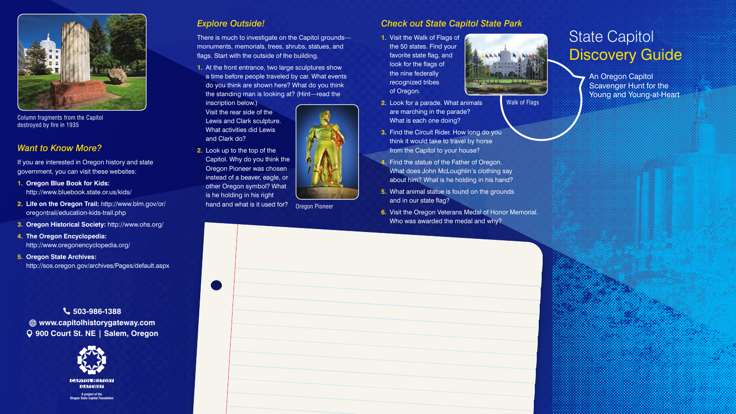An Oregon Capitol Scavenger Hunt for the Young and Young-at-Heart

## State Capitol Discovery Guide



#### *Explore Outside!*

There is much to investigate on the Capitol grounds monuments, memorials, trees, shrubs, statues, and flags. Start with the outside of the building.

**1.** At the front entrance, two large sculptures show a time before people traveled by car. What events do you think are shown here? What do you think the standing man is looking at? (Hint—read the

inscription below.) Visit the rear side of the Lewis and Clark sculpture. What activities did Lewis and Clark do?

**2.** Look up to the top of the Capitol. Why do you think the Oregon Pioneer was chosen instead of a beaver, eagle, or other Oregon symbol? What is he holding in his right hand and what is it used for?



#### *Check out State Capitol State Park*

**1.** Visit the Walk of Flags of the 50 states. Find your favorite state flag, and look for the flags of the nine federally recognized tribes of Oregon.



- **2.** Look for a parade. What animals are marching in the parade? What is each one doing?
- **3.** Find the Circuit Rider. How long do you think it would take to travel by horse from the Capitol to your house?
- **4.** Find the statue of the Father of Oregon. What does John McLoughlin's clothing say about him? What is he holding in his hand?
- **5.** What animal statue is found on the grounds and in our state flag?
- **6.** Visit the Oregon Veterans Medal of Honor Memorial. Who was awarded the medal and why?

#### *Want to Know More?*

If you are interested in Oregon history and state government, you can visit these websites:

- **1. Oregon Blue Book for Kids:** <http://www.bluebook.state.or.us/kids/>
- **2. Life on the Oregon Trail:** [http://www.blm.gov/or/](http://www.blm.gov/or/oregontrail/education-kids-trail.php) [oregontrail/education-kids-trail.php](http://www.blm.gov/or/oregontrail/education-kids-trail.php)
- **3. Oregon Historical Society:** http://www.ohs.org/
- **4. The Oregon Encyclopedia:** http://www.oregonencyclopedia.org/
- **5. Oregon State Archives:**  http://sos.oregon.gov/archives/Pages/default.aspx

 **503-986-1388 www.capitolhistorygateway.com 900 Court St. NE | Salem, Oregon** Oregon Pioneer

Walk of Flags



Column fragments from the Capitol destroyed by fire in 1935